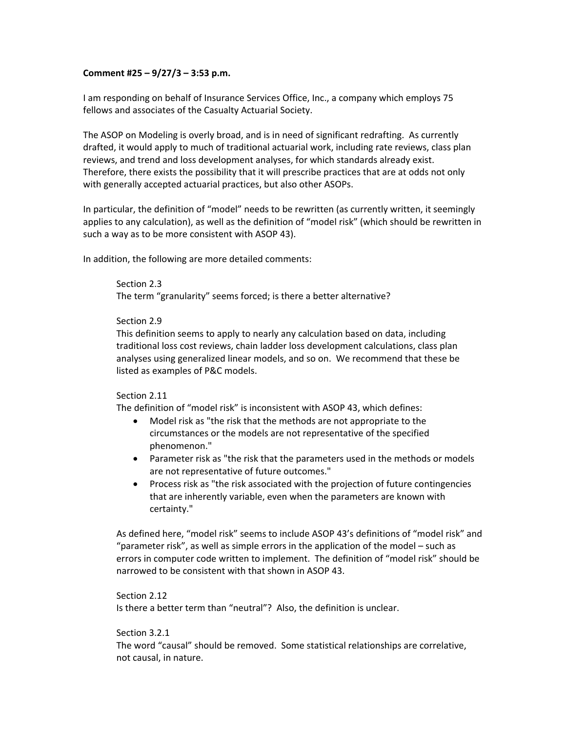### **Comment #25 – 9/27/3 – 3:53 p.m.**

I am responding on behalf of Insurance Services Office, Inc., a company which employs 75 fellows and associates of the Casualty Actuarial Society.

The ASOP on Modeling is overly broad, and is in need of significant redrafting. As currently drafted, it would apply to much of traditional actuarial work, including rate reviews, class plan reviews, and trend and loss development analyses, for which standards already exist. Therefore, there exists the possibility that it will prescribe practices that are at odds not only with generally accepted actuarial practices, but also other ASOPs.

In particular, the definition of "model" needs to be rewritten (as currently written, it seemingly applies to any calculation), as well as the definition of "model risk" (which should be rewritten in such a way as to be more consistent with ASOP 43).

In addition, the following are more detailed comments:

# Section 2.3 The term "granularity" seems forced; is there a better alternative?

### Section 2.9

This definition seems to apply to nearly any calculation based on data, including traditional loss cost reviews, chain ladder loss development calculations, class plan analyses using generalized linear models, and so on. We recommend that these be listed as examples of P&C models.

#### Section 2.11

The definition of "model risk" is inconsistent with ASOP 43, which defines:

- Model risk as "the risk that the methods are not appropriate to the circumstances or the models are not representative of the specified phenomenon."
- Parameter risk as "the risk that the parameters used in the methods or models are not representative of future outcomes."
- Process risk as "the risk associated with the projection of future contingencies that are inherently variable, even when the parameters are known with certainty."

As defined here, "model risk" seems to include ASOP 43's definitions of "model risk" and "parameter risk", as well as simple errors in the application of the model – such as errors in computer code written to implement. The definition of "model risk" should be narrowed to be consistent with that shown in ASOP 43.

Section 2.12 Is there a better term than "neutral"? Also, the definition is unclear.

## Section 3.2.1

The word "causal" should be removed. Some statistical relationships are correlative, not causal, in nature.